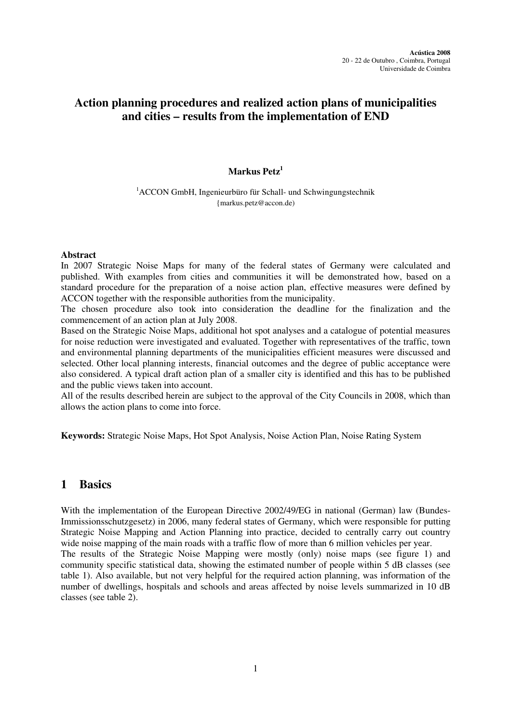# **Action planning procedures and realized action plans of municipalities and cities – results from the implementation of END**

### **Markus Petz<sup>1</sup>**

<sup>1</sup>ACCON GmbH, Ingenieurbüro für Schall- und Schwingungstechnik {markus.petz@accon.de)

#### **Abstract**

In 2007 Strategic Noise Maps for many of the federal states of Germany were calculated and published. With examples from cities and communities it will be demonstrated how, based on a standard procedure for the preparation of a noise action plan, effective measures were defined by ACCON together with the responsible authorities from the municipality.

The chosen procedure also took into consideration the deadline for the finalization and the commencement of an action plan at July 2008.

Based on the Strategic Noise Maps, additional hot spot analyses and a catalogue of potential measures for noise reduction were investigated and evaluated. Together with representatives of the traffic, town and environmental planning departments of the municipalities efficient measures were discussed and selected. Other local planning interests, financial outcomes and the degree of public acceptance were also considered. A typical draft action plan of a smaller city is identified and this has to be published and the public views taken into account.

All of the results described herein are subject to the approval of the City Councils in 2008, which than allows the action plans to come into force.

**Keywords:** Strategic Noise Maps, Hot Spot Analysis, Noise Action Plan, Noise Rating System

## **1 Basics**

With the implementation of the European Directive 2002/49/EG in national (German) law (Bundes-Immissionsschutzgesetz) in 2006, many federal states of Germany, which were responsible for putting Strategic Noise Mapping and Action Planning into practice, decided to centrally carry out country wide noise mapping of the main roads with a traffic flow of more than 6 million vehicles per year. The results of the Strategic Noise Mapping were mostly (only) noise maps (see figure 1) and community specific statistical data, showing the estimated number of people within 5 dB classes (see table 1). Also available, but not very helpful for the required action planning, was information of the number of dwellings, hospitals and schools and areas affected by noise levels summarized in 10 dB classes (see table 2).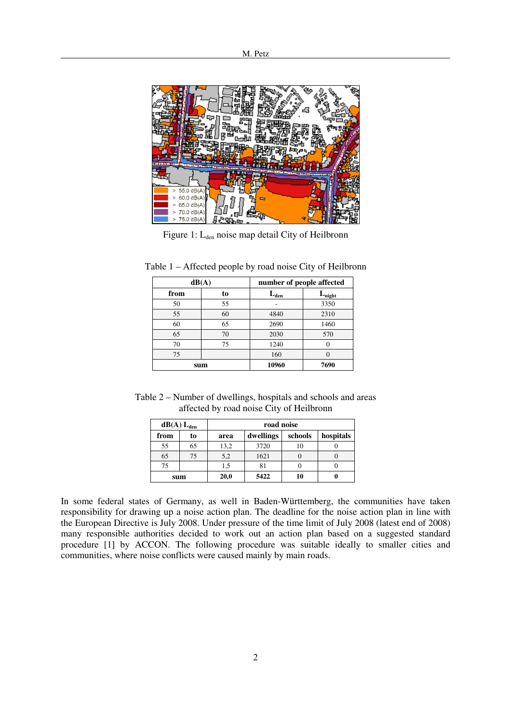

Figure 1: L<sub>den</sub> noise map detail City of Heilbronn

| dB(A) |     | number of people affected |                    |
|-------|-----|---------------------------|--------------------|
| from  | to  | $L_{den}$                 | $L_{\text{night}}$ |
| 50    | 55  |                           | 3350               |
| 55    | 60  | 4840                      | 2310               |
| 60    | 65  | 2690                      | 1460               |
| 65    | 70  | 2030                      | 570                |
| 70    | 75  | 1240                      |                    |
| 75    |     | 160                       |                    |
|       | sum | 10960                     | 7690               |

Table 1 – Affected people by road noise City of Heilbronn

Table 2 – Number of dwellings, hospitals and schools and areas affected by road noise City of Heilbronn

|      | $dB(A) L_{den}$ | road noise |           |         |           |
|------|-----------------|------------|-----------|---------|-----------|
| from | to              | area       | dwellings | schools | hospitals |
| 55   | 65              | 13,2       | 3720      | 10      |           |
| 65   | 75              | 5,2        | 1621      |         |           |
| 75   |                 | 1,5        | 81        |         |           |
|      | sum             | 20,0       | 5422      | 10      |           |

In some federal states of Germany, as well in Baden-Württemberg, the communities have taken responsibility for drawing up a noise action plan. The deadline for the noise action plan in line with the European Directive is July 2008. Under pressure of the time limit of July 2008 (latest end of 2008) many responsible authorities decided to work out an action plan based on a suggested standard procedure [1] by ACCON. The following procedure was suitable ideally to smaller cities and communities, where noise conflicts were caused mainly by main roads.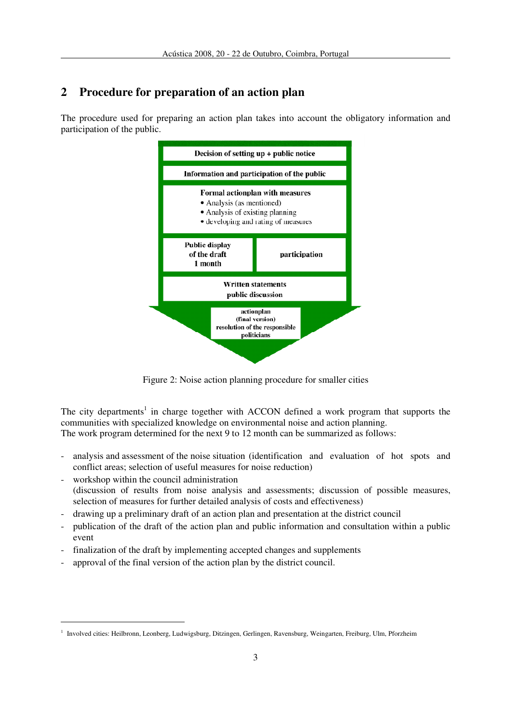# **2 Procedure for preparation of an action plan**

The procedure used for preparing an action plan takes into account the obligatory information and participation of the public.



Figure 2: Noise action planning procedure for smaller cities

The city departments<sup>1</sup> in charge together with ACCON defined a work program that supports the communities with specialized knowledge on environmental noise and action planning. The work program determined for the next 9 to 12 month can be summarized as follows:

- analysis and assessment of the noise situation (identification and evaluation of hot spots and conflict areas; selection of useful measures for noise reduction)
- workshop within the council administration (discussion of results from noise analysis and assessments; discussion of possible measures, selection of measures for further detailed analysis of costs and effectiveness)
- drawing up a preliminary draft of an action plan and presentation at the district council
- publication of the draft of the action plan and public information and consultation within a public event
- finalization of the draft by implementing accepted changes and supplements
- approval of the final version of the action plan by the district council.

 $\overline{a}$ 

<sup>1</sup> Involved cities: Heilbronn, Leonberg, Ludwigsburg, Ditzingen, Gerlingen, Ravensburg, Weingarten, Freiburg, Ulm, Pforzheim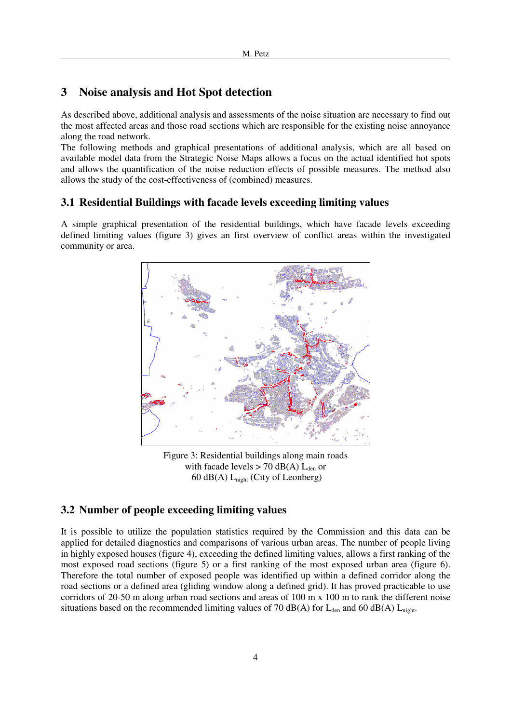# **3 Noise analysis and Hot Spot detection**

As described above, additional analysis and assessments of the noise situation are necessary to find out the most affected areas and those road sections which are responsible for the existing noise annoyance along the road network.

The following methods and graphical presentations of additional analysis, which are all based on available model data from the Strategic Noise Maps allows a focus on the actual identified hot spots and allows the quantification of the noise reduction effects of possible measures. The method also allows the study of the cost-effectiveness of (combined) measures.

## **3.1 Residential Buildings with facade levels exceeding limiting values**

A simple graphical presentation of the residential buildings, which have facade levels exceeding defined limiting values (figure 3) gives an first overview of conflict areas within the investigated community or area.



Figure 3: Residential buildings along main roads with facade levels  $> 70$  dB(A)  $L_{den}$  or 60 dB(A)  $L_{night}$  (City of Leonberg)

## **3.2 Number of people exceeding limiting values**

It is possible to utilize the population statistics required by the Commission and this data can be applied for detailed diagnostics and comparisons of various urban areas. The number of people living in highly exposed houses (figure 4), exceeding the defined limiting values, allows a first ranking of the most exposed road sections (figure 5) or a first ranking of the most exposed urban area (figure 6). Therefore the total number of exposed people was identified up within a defined corridor along the road sections or a defined area (gliding window along a defined grid). It has proved practicable to use corridors of 20-50 m along urban road sections and areas of 100 m x 100 m to rank the different noise situations based on the recommended limiting values of 70 dB(A) for  $L_{den}$  and 60 dB(A)  $L_{night}$ .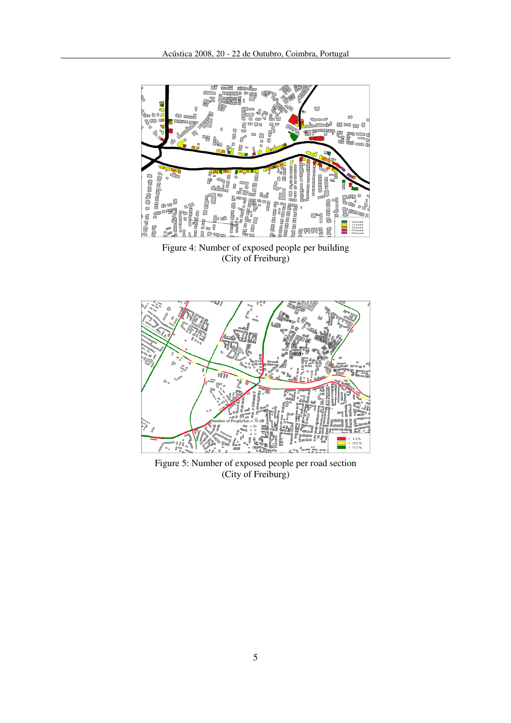

(City of Freiburg)



Figure 5: Number of exposed people per road section (City of Freiburg)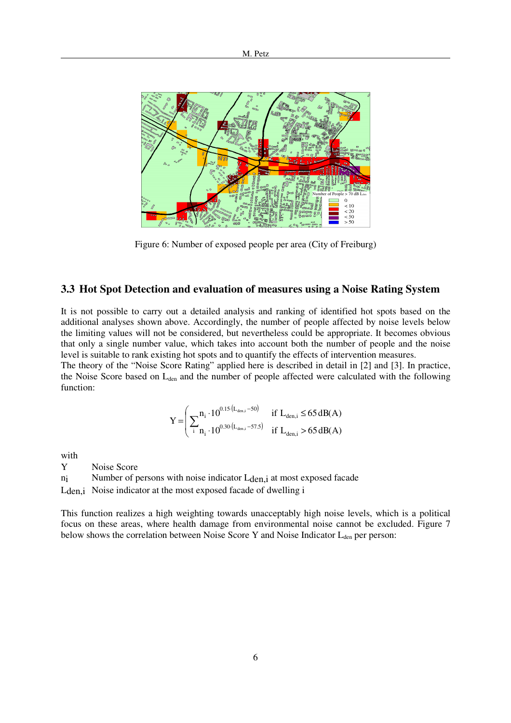

Figure 6: Number of exposed people per area (City of Freiburg)

#### **3.3 Hot Spot Detection and evaluation of measures using a Noise Rating System**

It is not possible to carry out a detailed analysis and ranking of identified hot spots based on the additional analyses shown above. Accordingly, the number of people affected by noise levels below the limiting values will not be considered, but nevertheless could be appropriate. It becomes obvious that only a single number value, which takes into account both the number of people and the noise level is suitable to rank existing hot spots and to quantify the effects of intervention measures.

The theory of the "Noise Score Rating" applied here is described in detail in [2] and [3]. In practice, the Noise Score based on L<sub>den</sub> and the number of people affected were calculated with the following function:

$$
Y = \left(\sum_{i} \begin{matrix} n_i \cdot 10^{0.15 \cdot (L_{\text{den},i} - 50)} & \text{if } L_{\text{den},i} \le 65 \,\text{dB}(A) \\ \text{if } n_i \cdot 10^{0.30 \cdot (L_{\text{den},i} - 57.5)} & \text{if } L_{\text{den},i} > 65 \,\text{dB}(A) \end{matrix}\right)
$$

with

Y Noise Score

ni Number of persons with noise indicator L<sub>den,i</sub> at most exposed facade

Lden,i Noise indicator at the most exposed facade of dwelling i

This function realizes a high weighting towards unacceptably high noise levels, which is a political focus on these areas, where health damage from environmental noise cannot be excluded. Figure 7 below shows the correlation between Noise Score Y and Noise Indicator L<sub>den</sub> per person: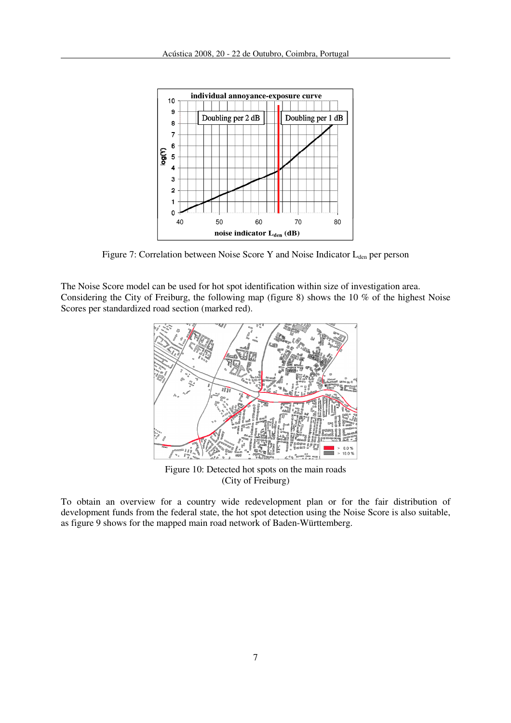

Figure 7: Correlation between Noise Score Y and Noise Indicator  $L_{den}$  per person

The Noise Score model can be used for hot spot identification within size of investigation area. Considering the City of Freiburg, the following map (figure 8) shows the 10 % of the highest Noise Scores per standardized road section (marked red).



Figure 10: Detected hot spots on the main roads (City of Freiburg)

To obtain an overview for a country wide redevelopment plan or for the fair distribution of development funds from the federal state, the hot spot detection using the Noise Score is also suitable, as figure 9 shows for the mapped main road network of Baden-Württemberg.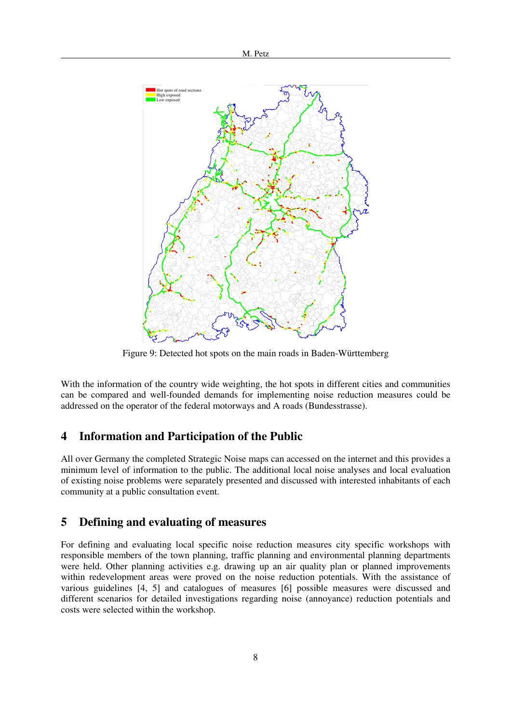

Figure 9: Detected hot spots on the main roads in Baden-Württemberg

With the information of the country wide weighting, the hot spots in different cities and communities can be compared and well-founded demands for implementing noise reduction measures could be addressed on the operator of the federal motorways and A roads (Bundesstrasse).

### **4 Information and Participation of the Public**

All over Germany the completed Strategic Noise maps can accessed on the internet and this provides a minimum level of information to the public. The additional local noise analyses and local evaluation of existing noise problems were separately presented and discussed with interested inhabitants of each community at a public consultation event.

### **5 Defining and evaluating of measures**

For defining and evaluating local specific noise reduction measures city specific workshops with responsible members of the town planning, traffic planning and environmental planning departments were held. Other planning activities e.g. drawing up an air quality plan or planned improvements within redevelopment areas were proved on the noise reduction potentials. With the assistance of various guidelines [4, 5] and catalogues of measures [6] possible measures were discussed and different scenarios for detailed investigations regarding noise (annoyance) reduction potentials and costs were selected within the workshop.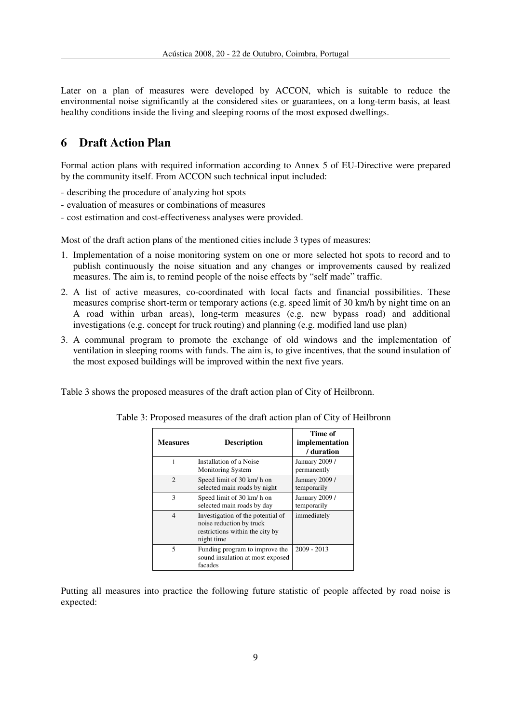Later on a plan of measures were developed by ACCON, which is suitable to reduce the environmental noise significantly at the considered sites or guarantees, on a long-term basis, at least healthy conditions inside the living and sleeping rooms of the most exposed dwellings.

# **6 Draft Action Plan**

Formal action plans with required information according to Annex 5 of EU-Directive were prepared by the community itself. From ACCON such technical input included:

- describing the procedure of analyzing hot spots
- evaluation of measures or combinations of measures
- cost estimation and cost-effectiveness analyses were provided.

Most of the draft action plans of the mentioned cities include 3 types of measures:

- 1. Implementation of a noise monitoring system on one or more selected hot spots to record and to publish continuously the noise situation and any changes or improvements caused by realized measures. The aim is, to remind people of the noise effects by "self made" traffic.
- 2. A list of active measures, co-coordinated with local facts and financial possibilities. These measures comprise short-term or temporary actions (e.g. speed limit of 30 km/h by night time on an A road within urban areas), long-term measures (e.g. new bypass road) and additional investigations (e.g. concept for truck routing) and planning (e.g. modified land use plan)
- 3. A communal program to promote the exchange of old windows and the implementation of ventilation in sleeping rooms with funds. The aim is, to give incentives, that the sound insulation of the most exposed buildings will be improved within the next five years.

Table 3 shows the proposed measures of the draft action plan of City of Heilbronn.

| <b>Measures</b>          | <b>Description</b>                                                                                             | Time of<br>implementation<br>/ duration |
|--------------------------|----------------------------------------------------------------------------------------------------------------|-----------------------------------------|
|                          | Installation of a Noise<br><b>Monitoring System</b>                                                            | <b>January 2009 /</b><br>permanently    |
| $\mathfrak{D}$           | Speed limit of 30 km/h on<br>selected main roads by night                                                      | January 2009 /<br>temporarily           |
| 3                        | Speed limit of 30 km/h on<br>selected main roads by day                                                        | <b>January 2009 /</b><br>temporarily    |
| 4                        | Investigation of the potential of<br>noise reduction by truck<br>restrictions within the city by<br>night time | immediately                             |
| $\overline{\phantom{0}}$ | Funding program to improve the<br>sound insulation at most exposed<br>facades                                  | $2009 - 2013$                           |

Table 3: Proposed measures of the draft action plan of City of Heilbronn

Putting all measures into practice the following future statistic of people affected by road noise is expected: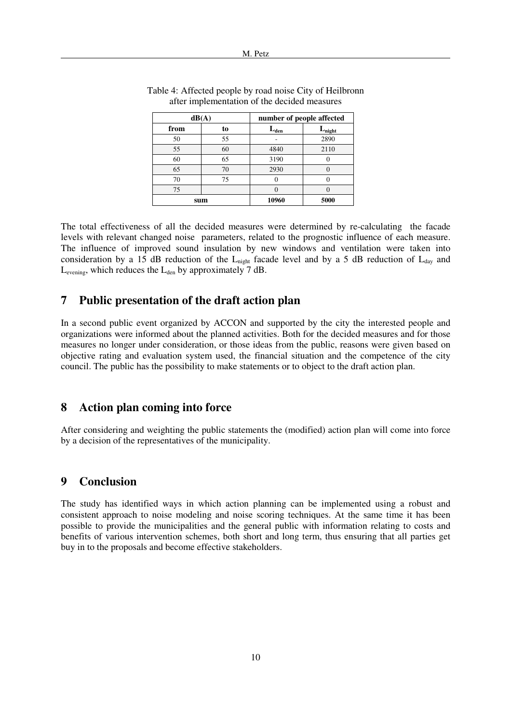| dB(A) |     | number of people affected |                 |
|-------|-----|---------------------------|-----------------|
| from  | to  | $L_{den}$                 | $L_{\rm night}$ |
| 50    | 55  |                           | 2890            |
| 55    | 60  | 4840                      | 2110            |
| 60    | 65  | 3190                      |                 |
| 65    | 70  | 2930                      |                 |
| 70    | 75  |                           |                 |
| 75    |     |                           |                 |
|       | sum | 10960                     | 5000            |

| Table 4: Affected people by road noise City of Heilbronn |  |
|----------------------------------------------------------|--|
| after implementation of the decided measures             |  |

The total effectiveness of all the decided measures were determined by re-calculating the facade levels with relevant changed noise parameters, related to the prognostic influence of each measure. The influence of improved sound insulation by new windows and ventilation were taken into consideration by a 15 dB reduction of the  $L_{\text{nicht}}$  facade level and by a 5 dB reduction of  $L_{\text{day}}$  and  $L_{\text{evening}}$ , which reduces the  $L_{\text{den}}$  by approximately 7 dB.

## **7 Public presentation of the draft action plan**

In a second public event organized by ACCON and supported by the city the interested people and organizations were informed about the planned activities. Both for the decided measures and for those measures no longer under consideration, or those ideas from the public, reasons were given based on objective rating and evaluation system used, the financial situation and the competence of the city council. The public has the possibility to make statements or to object to the draft action plan.

#### **8 Action plan coming into force**

After considering and weighting the public statements the (modified) action plan will come into force by a decision of the representatives of the municipality.

### **9 Conclusion**

The study has identified ways in which action planning can be implemented using a robust and consistent approach to noise modeling and noise scoring techniques. At the same time it has been possible to provide the municipalities and the general public with information relating to costs and benefits of various intervention schemes, both short and long term, thus ensuring that all parties get buy in to the proposals and become effective stakeholders.